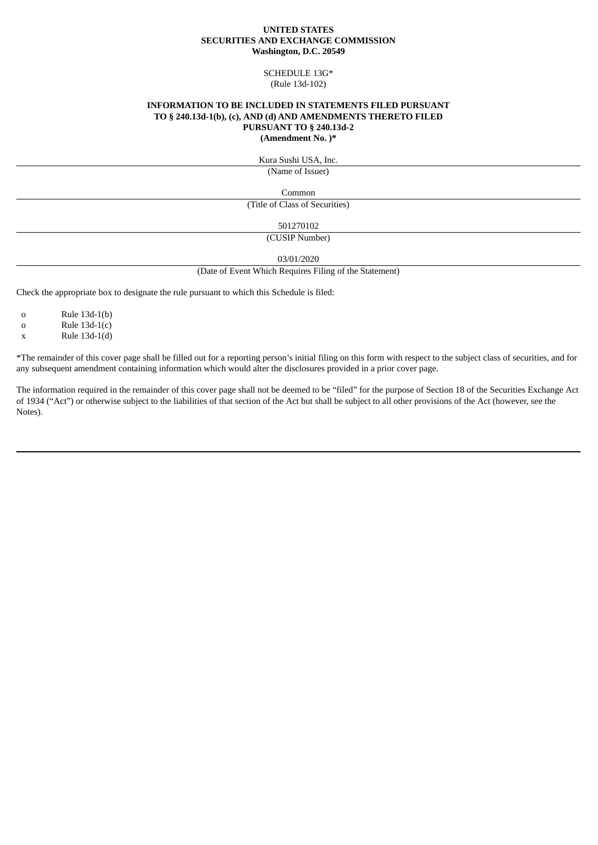#### **UNITED STATES SECURITIES AND EXCHANGE COMMISSION Washington, D.C. 20549**

## SCHEDULE 13G\* (Rule 13d-102)

# **INFORMATION TO BE INCLUDED IN STATEMENTS FILED PURSUANT TO § 240.13d-1(b), (c), AND (d) AND AMENDMENTS THERETO FILED PURSUANT TO § 240.13d-2**

**(Amendment No. )\***

Kura Sushi USA, Inc.

(Name of Issuer)

Common

(Title of Class of Securities)

501270102

(CUSIP Number)

03/01/2020

(Date of Event Which Requires Filing of the Statement)

Check the appropriate box to designate the rule pursuant to which this Schedule is filed:

o Rule 13d-1(b)

 $a = \text{Rule } 13d-1(c)$ 

x Rule 13d-1(d)

\*The remainder of this cover page shall be filled out for a reporting person's initial filing on this form with respect to the subject class of securities, and for any subsequent amendment containing information which would alter the disclosures provided in a prior cover page.

The information required in the remainder of this cover page shall not be deemed to be "filed" for the purpose of Section 18 of the Securities Exchange Act of 1934 ("Act") or otherwise subject to the liabilities of that section of the Act but shall be subject to all other provisions of the Act (however, see the Notes).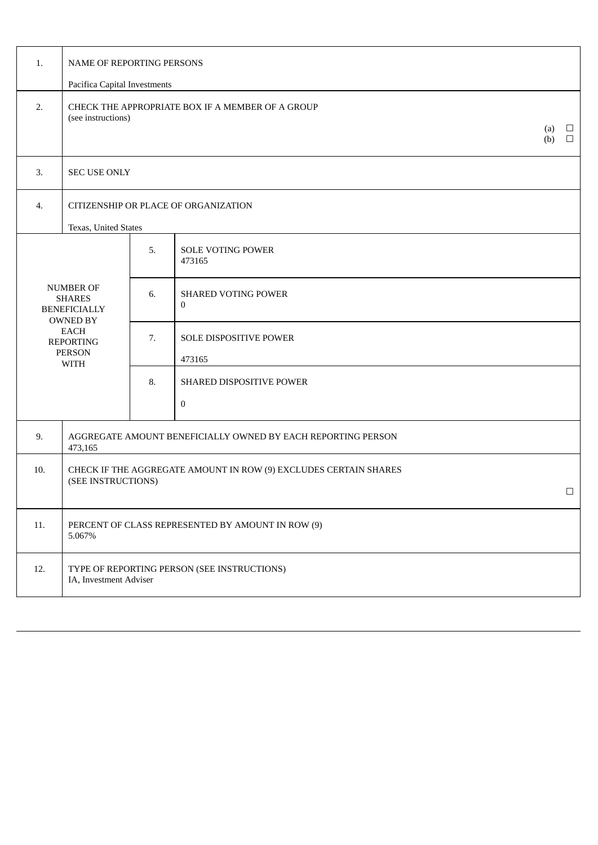| 1.                                                                                                                                      | <b>NAME OF REPORTING PERSONS</b>                                                                         |    |                                      |  |  |  |  |
|-----------------------------------------------------------------------------------------------------------------------------------------|----------------------------------------------------------------------------------------------------------|----|--------------------------------------|--|--|--|--|
|                                                                                                                                         | Pacifica Capital Investments                                                                             |    |                                      |  |  |  |  |
| 2.                                                                                                                                      | CHECK THE APPROPRIATE BOX IF A MEMBER OF A GROUP<br>(see instructions)<br>(a)<br>$\Box$<br>$\Box$<br>(b) |    |                                      |  |  |  |  |
| 3.                                                                                                                                      | <b>SEC USE ONLY</b>                                                                                      |    |                                      |  |  |  |  |
| 4.                                                                                                                                      | CITIZENSHIP OR PLACE OF ORGANIZATION                                                                     |    |                                      |  |  |  |  |
|                                                                                                                                         | Texas, United States                                                                                     |    |                                      |  |  |  |  |
| <b>NUMBER OF</b><br><b>SHARES</b><br><b>BENEFICIALLY</b><br><b>OWNED BY</b><br>EACH<br><b>REPORTING</b><br><b>PERSON</b><br><b>WITH</b> |                                                                                                          | 5. | <b>SOLE VOTING POWER</b><br>473165   |  |  |  |  |
|                                                                                                                                         |                                                                                                          | 6. | SHARED VOTING POWER<br>$\mathbf{0}$  |  |  |  |  |
|                                                                                                                                         |                                                                                                          | 7. | SOLE DISPOSITIVE POWER<br>473165     |  |  |  |  |
|                                                                                                                                         |                                                                                                          | 8. | SHARED DISPOSITIVE POWER<br>$\bf{0}$ |  |  |  |  |
| 9.                                                                                                                                      | AGGREGATE AMOUNT BENEFICIALLY OWNED BY EACH REPORTING PERSON<br>473,165                                  |    |                                      |  |  |  |  |
| 10.                                                                                                                                     | CHECK IF THE AGGREGATE AMOUNT IN ROW (9) EXCLUDES CERTAIN SHARES<br>(SEE INSTRUCTIONS)<br>$\Box$         |    |                                      |  |  |  |  |
| 11.                                                                                                                                     | PERCENT OF CLASS REPRESENTED BY AMOUNT IN ROW (9)<br>5.067%                                              |    |                                      |  |  |  |  |
| 12.                                                                                                                                     | TYPE OF REPORTING PERSON (SEE INSTRUCTIONS)<br>IA, Investment Adviser                                    |    |                                      |  |  |  |  |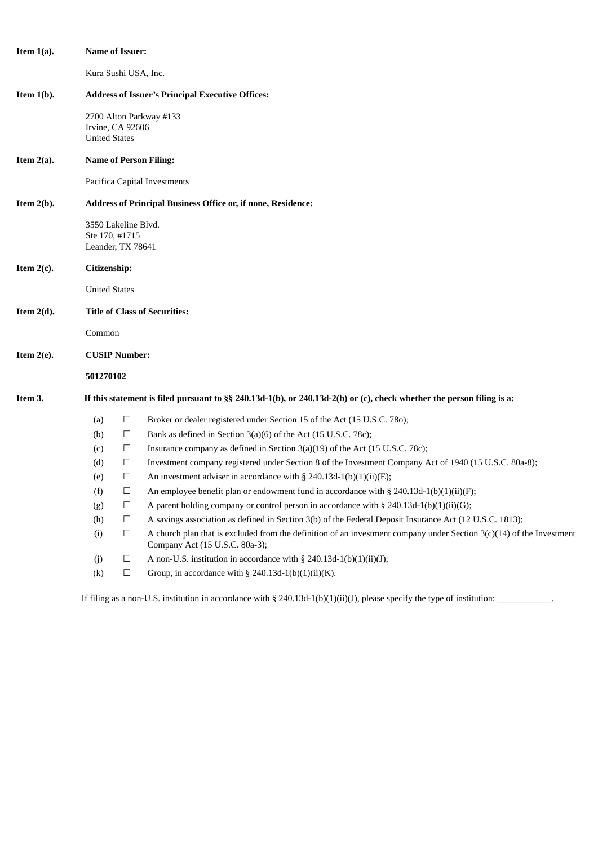| Item $1(a)$ . | Name of Issuer:                                                                                                       |                                       |                                                                                                                                                          |  |  |  |
|---------------|-----------------------------------------------------------------------------------------------------------------------|---------------------------------------|----------------------------------------------------------------------------------------------------------------------------------------------------------|--|--|--|
|               | Kura Sushi USA, Inc.                                                                                                  |                                       |                                                                                                                                                          |  |  |  |
| Item $1(b)$ . | <b>Address of Issuer's Principal Executive Offices:</b>                                                               |                                       |                                                                                                                                                          |  |  |  |
|               | <b>United States</b>                                                                                                  | Irvine, CA 92606                      | 2700 Alton Parkway #133                                                                                                                                  |  |  |  |
| Item $2(a)$ . | <b>Name of Person Filing:</b>                                                                                         |                                       |                                                                                                                                                          |  |  |  |
|               | Pacifica Capital Investments                                                                                          |                                       |                                                                                                                                                          |  |  |  |
| Item $2(b)$ . | <b>Address of Principal Business Office or, if none, Residence:</b>                                                   |                                       |                                                                                                                                                          |  |  |  |
|               | Leander, TX 78641                                                                                                     | 3550 Lakeline Blvd.<br>Ste 170, #1715 |                                                                                                                                                          |  |  |  |
| Item $2(c)$ . | Citizenship:                                                                                                          |                                       |                                                                                                                                                          |  |  |  |
|               | <b>United States</b>                                                                                                  |                                       |                                                                                                                                                          |  |  |  |
| Item $2(d)$ . | <b>Title of Class of Securities:</b>                                                                                  |                                       |                                                                                                                                                          |  |  |  |
|               | Common                                                                                                                |                                       |                                                                                                                                                          |  |  |  |
| Item $2(e)$ . | <b>CUSIP Number:</b>                                                                                                  |                                       |                                                                                                                                                          |  |  |  |
|               | 501270102                                                                                                             |                                       |                                                                                                                                                          |  |  |  |
| Item 3.       | If this statement is filed pursuant to §§ 240.13d-1(b), or 240.13d-2(b) or (c), check whether the person filing is a: |                                       |                                                                                                                                                          |  |  |  |
|               | (a)                                                                                                                   | $\Box$                                | Broker or dealer registered under Section 15 of the Act (15 U.S.C. 780);                                                                                 |  |  |  |
|               | (b)                                                                                                                   | □                                     | Bank as defined in Section 3(a)(6) of the Act (15 U.S.C. 78c);                                                                                           |  |  |  |
|               | (c)                                                                                                                   | $\Box$                                | Insurance company as defined in Section 3(a)(19) of the Act (15 U.S.C. 78c);                                                                             |  |  |  |
|               | (d)                                                                                                                   | $\Box$                                | Investment company registered under Section 8 of the Investment Company Act of 1940 (15 U.S.C. 80a-8);                                                   |  |  |  |
|               | (e)                                                                                                                   | □                                     | An investment adviser in accordance with § 240.13d-1(b)(1)(ii)(E);                                                                                       |  |  |  |
|               | (f)                                                                                                                   | $\Box$                                | An employee benefit plan or endowment fund in accordance with $\S$ 240.13d-1(b)(1)(ii)(F);                                                               |  |  |  |
|               | (g)                                                                                                                   | $\Box$                                | A parent holding company or control person in accordance with § 240.13d-1(b)(1)(ii)(G);                                                                  |  |  |  |
|               | (h)                                                                                                                   | $\Box$                                | A savings association as defined in Section 3(b) of the Federal Deposit Insurance Act (12 U.S.C. 1813);                                                  |  |  |  |
|               | (i)                                                                                                                   | $\Box$                                | A church plan that is excluded from the definition of an investment company under Section $3(c)(14)$ of the Investment<br>Company Act (15 U.S.C. 80a-3); |  |  |  |
|               | (j)                                                                                                                   | $\Box$                                | A non-U.S. institution in accordance with $\S$ 240.13d-1(b)(1)(ii)(J);                                                                                   |  |  |  |
|               | (k)                                                                                                                   | $\Box$                                | Group, in accordance with § 240.13d-1(b)(1)(ii)(K).                                                                                                      |  |  |  |
|               |                                                                                                                       |                                       | If filing as a non-U.S. institution in accordance with § 240.13d-1(b)(1)(ii)(J), please specify the type of institution:                                 |  |  |  |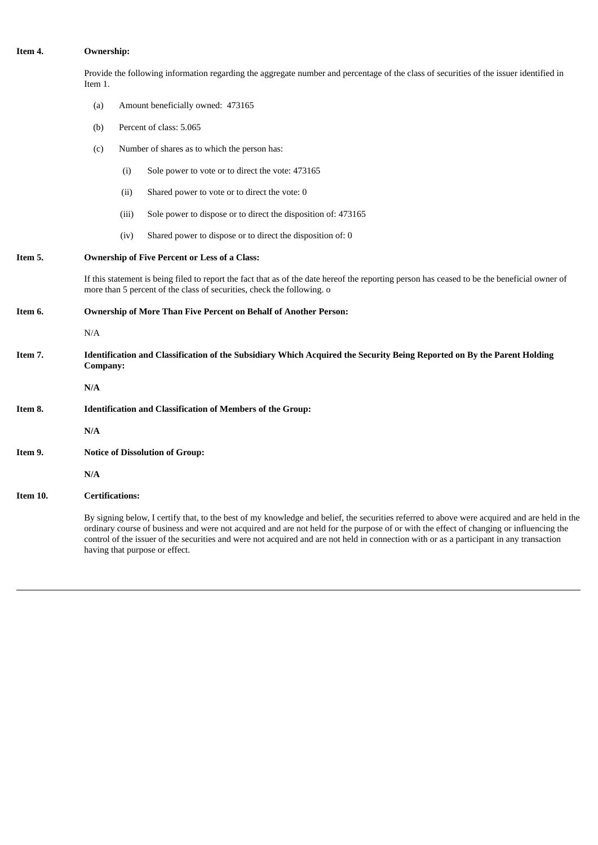# **Item 4. Ownership:**

Provide the following information regarding the aggregate number and percentage of the class of securities of the issuer identified in Item 1.

- (a) Amount beneficially owned: 473165
- (b) Percent of class: 5.065
- (c) Number of shares as to which the person has:
	- (i) Sole power to vote or to direct the vote: 473165
	- (ii) Shared power to vote or to direct the vote: 0
	- (iii) Sole power to dispose or to direct the disposition of: 473165
	- (iv) Shared power to dispose or to direct the disposition of: 0

# **Item 5. Ownership of Five Percent or Less of a Class:**

If this statement is being filed to report the fact that as of the date hereof the reporting person has ceased to be the beneficial owner of more than 5 percent of the class of securities, check the following. o

**Item 6. Ownership of More Than Five Percent on Behalf of Another Person:**

N/A

Item 7. Identification and Classification of the Subsidiary Which Acquired the Security Being Reported on By the Parent Holding **Company:**

**N/A**

- **Item 8. Identification and Classification of Members of the Group:**
	- **N/A**
- **Item 9. Notice of Dissolution of Group:**
	- **N/A**

### **Item 10. Certifications:**

By signing below, I certify that, to the best of my knowledge and belief, the securities referred to above were acquired and are held in the ordinary course of business and were not acquired and are not held for the purpose of or with the effect of changing or influencing the control of the issuer of the securities and were not acquired and are not held in connection with or as a participant in any transaction having that purpose or effect.